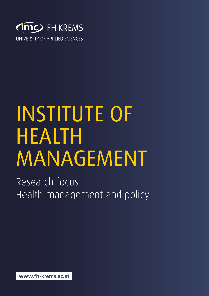

## INSTITUTE OF HEALTH MANAGEMENT

Research focus Health management and policy

**www.fh-krems.ac.at**